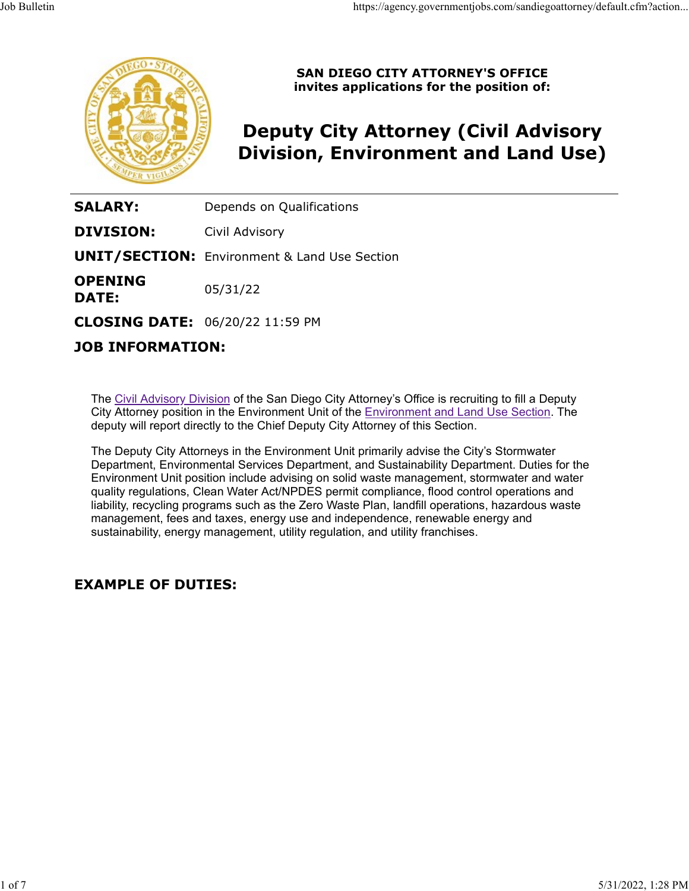

SAN DIEGO CITY ATTORNEY'S OFFICE invites applications for the position of:

# Deputy City Attorney (Civil Advisory Division, Environment and Land Use)

**SALARY:** Depends on Qualifications

**DIVISION:** Civil Advisory

**UNIT/SECTION:** Environment & Land Use Section

**OPENING**  $05/31/22$ **DATE:** 05/31/22

CLOSING DATE: 06/20/22 11:59 PM

# JOB INFORMATION:

The Civil Advisory Division of the San Diego City Attorney's Office is recruiting to fill a Deputy City Attorney position in the Environment Unit of the Environment and Land Use Section. The deputy will report directly to the Chief Deputy City Attorney of this Section.

The Deputy City Attorneys in the Environment Unit primarily advise the City's Stormwater Department, Environmental Services Department, and Sustainability Department. Duties for the Environment Unit position include advising on solid waste management, stormwater and water quality regulations, Clean Water Act/NPDES permit compliance, flood control operations and liability, recycling programs such as the Zero Waste Plan, landfill operations, hazardous waste management, fees and taxes, energy use and independence, renewable energy and sustainability, energy management, utility regulation, and utility franchises.

### EXAMPLE OF DUTIES: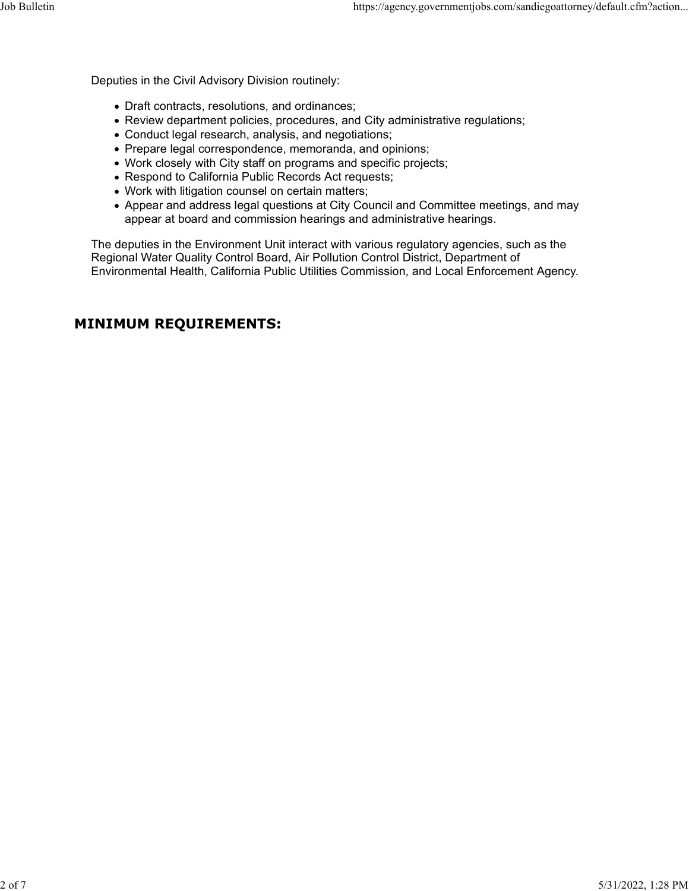Deputies in the Civil Advisory Division routinely:

- Draft contracts, resolutions, and ordinances;
- Review department policies, procedures, and City administrative regulations;
- Conduct legal research, analysis, and negotiations;
- Prepare legal correspondence, memoranda, and opinions;
- Work closely with City staff on programs and specific projects;
- Respond to California Public Records Act requests;
- Work with litigation counsel on certain matters;
- Appear and address legal questions at City Council and Committee meetings, and may appear at board and commission hearings and administrative hearings.

The deputies in the Environment Unit interact with various regulatory agencies, such as the Regional Water Quality Control Board, Air Pollution Control District, Department of Environmental Health, California Public Utilities Commission, and Local Enforcement Agency.

## MINIMUM REQUIREMENTS: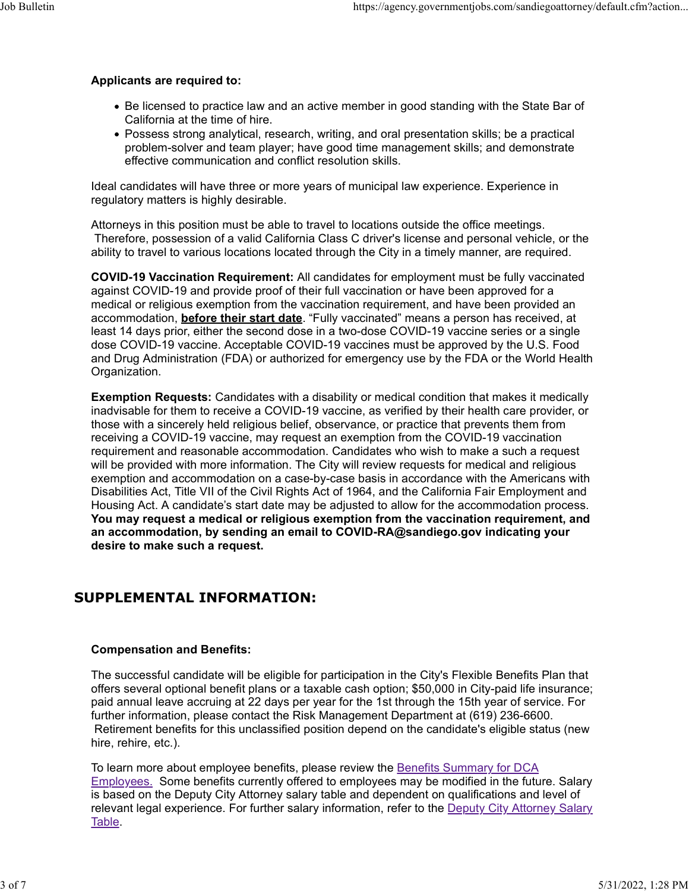#### Applicants are required to:

- Be licensed to practice law and an active member in good standing with the State Bar of California at the time of hire.
- Possess strong analytical, research, writing, and oral presentation skills; be a practical problem-solver and team player; have good time management skills; and demonstrate effective communication and conflict resolution skills.

Ideal candidates will have three or more years of municipal law experience. Experience in regulatory matters is highly desirable.

Attorneys in this position must be able to travel to locations outside the office meetings. Therefore, possession of a valid California Class C driver's license and personal vehicle, or the ability to travel to various locations located through the City in a timely manner, are required.

COVID-19 Vaccination Requirement: All candidates for employment must be fully vaccinated against COVID-19 and provide proof of their full vaccination or have been approved for a medical or religious exemption from the vaccination requirement, and have been provided an accommodation, **before their start date**. "Fully vaccinated" means a person has received, at least 14 days prior, either the second dose in a two-dose COVID-19 vaccine series or a single dose COVID-19 vaccine. Acceptable COVID-19 vaccines must be approved by the U.S. Food and Drug Administration (FDA) or authorized for emergency use by the FDA or the World Health Organization.

**Exemption Requests:** Candidates with a disability or medical condition that makes it medically inadvisable for them to receive a COVID-19 vaccine, as verified by their health care provider, or those with a sincerely held religious belief, observance, or practice that prevents them from receiving a COVID-19 vaccine, may request an exemption from the COVID-19 vaccination requirement and reasonable accommodation. Candidates who wish to make a such a request will be provided with more information. The City will review requests for medical and religious exemption and accommodation on a case-by-case basis in accordance with the Americans with Disabilities Act, Title VII of the Civil Rights Act of 1964, and the California Fair Employment and Housing Act. A candidate's start date may be adjusted to allow for the accommodation process. You may request a medical or religious exemption from the vaccination requirement, and an accommodation, by sending an email to COVID-RA@sandiego.gov indicating your desire to make such a request.

# SUPPLEMENTAL INFORMATION:

#### Compensation and Benefits:

The successful candidate will be eligible for participation in the City's Flexible Benefits Plan that offers several optional benefit plans or a taxable cash option; \$50,000 in City-paid life insurance; paid annual leave accruing at 22 days per year for the 1st through the 15th year of service. For further information, please contact the Risk Management Department at (619) 236-6600. Retirement benefits for this unclassified position depend on the candidate's eligible status (new hire, rehire, etc.).

To learn more about employee benefits, please review the Benefits Summary for DCA **Employees.** Some benefits currently offered to employees may be modified in the future. Salary is based on the Deputy City Attorney salary table and dependent on qualifications and level of relevant legal experience. For further salary information, refer to the **Deputy City Attorney Salary** Table.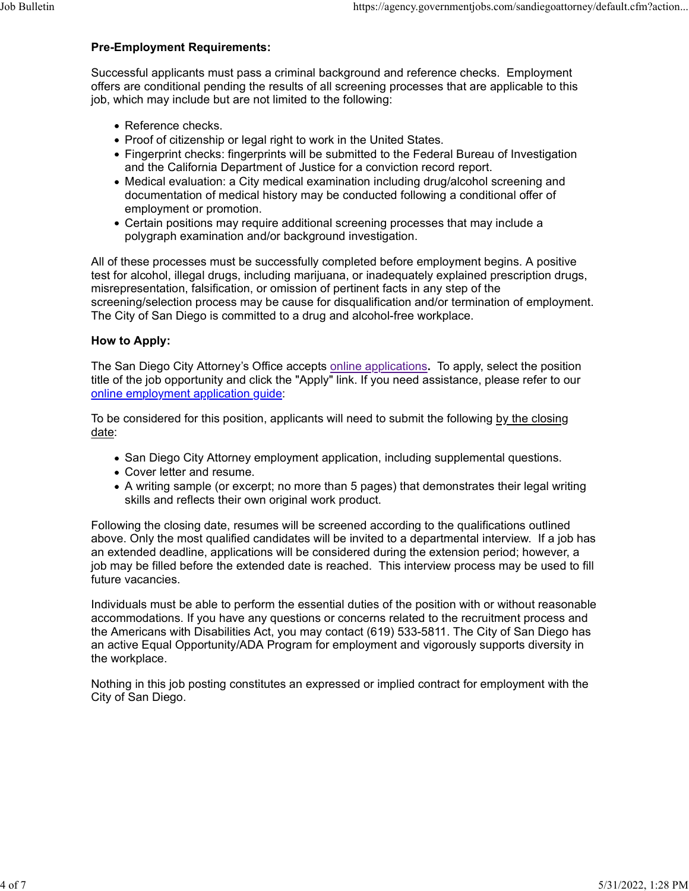#### Pre-Employment Requirements:

Successful applicants must pass a criminal background and reference checks. Employment offers are conditional pending the results of all screening processes that are applicable to this job, which may include but are not limited to the following: Job Bulletin<br>Pre-Employment Requirements:<br>Successful applicants must pass a criminal background and reference checks. Employment

- Reference checks.
- Proof of citizenship or legal right to work in the United States.
- Fingerprint checks: fingerprints will be submitted to the Federal Bureau of Investigation and the California Department of Justice for a conviction record report.
- Medical evaluation: a City medical examination including drug/alcohol screening and documentation of medical history may be conducted following a conditional offer of employment or promotion.
- Certain positions may require additional screening processes that may include a polygraph examination and/or background investigation.

All of these processes must be successfully completed before employment begins. A positive test for alcohol, illegal drugs, including marijuana, or inadequately explained prescription drugs, misrepresentation, falsification, or omission of pertinent facts in any step of the screening/selection process may be cause for disqualification and/or termination of employment. The City of San Diego is committed to a drug and alcohol-free workplace.

#### How to Apply:

The San Diego City Attorney's Office accepts online applications. To apply, select the position title of the job opportunity and click the "Apply" link. If you need assistance, please refer to our online employment application guide:

To be considered for this position, applicants will need to submit the following by the closing date:

- San Diego City Attorney employment application, including supplemental questions.
- Cover letter and resume.
- A writing sample (or excerpt; no more than 5 pages) that demonstrates their legal writing skills and reflects their own original work product.

Following the closing date, resumes will be screened according to the qualifications outlined above. Only the most qualified candidates will be invited to a departmental interview. If a job has an extended deadline, applications will be considered during the extension period; however, a job may be filled before the extended date is reached. This interview process may be used to fill future vacancies.

Individuals must be able to perform the essential duties of the position with or without reasonable accommodations. If you have any questions or concerns related to the recruitment process and the Americans with Disabilities Act, you may contact (619) 533-5811. The City of San Diego has an active Equal Opportunity/ADA Program for employment and vigorously supports diversity in the workplace.

Nothing in this job posting constitutes an expressed or implied contract for employment with the City of San Diego.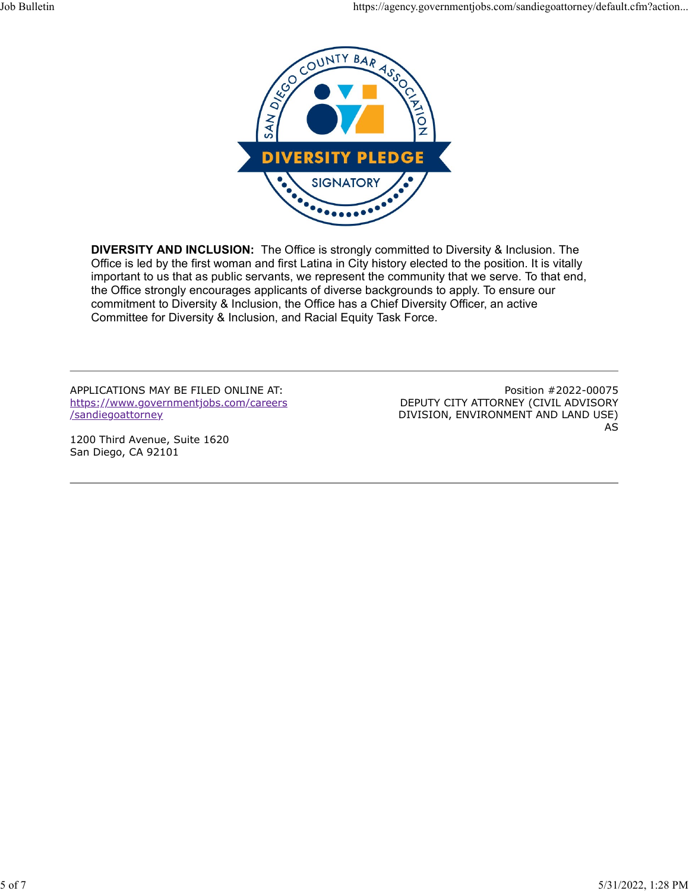

DIVERSITY AND INCLUSION: The Office is strongly committed to Diversity & Inclusion. The Office is led by the first woman and first Latina in City history elected to the position. It is vitally important to us that as public servants, we represent the community that we serve. To that end, the Office strongly encourages applicants of diverse backgrounds to apply. To ensure our commitment to Diversity & Inclusion, the Office has a Chief Diversity Officer, an active Committee for Diversity & Inclusion, and Racial Equity Task Force.

APPLICATIONS MAY BE FILED ONLINE AT: https://www.governmentjobs.com/careers /sandiegoattorney

1200 Third Avenue, Suite 1620 San Diego, CA 92101

Position #2022-00075 DEPUTY CITY ATTORNEY (CIVIL ADVISORY DIVISION, ENVIRONMENT AND LAND USE) AS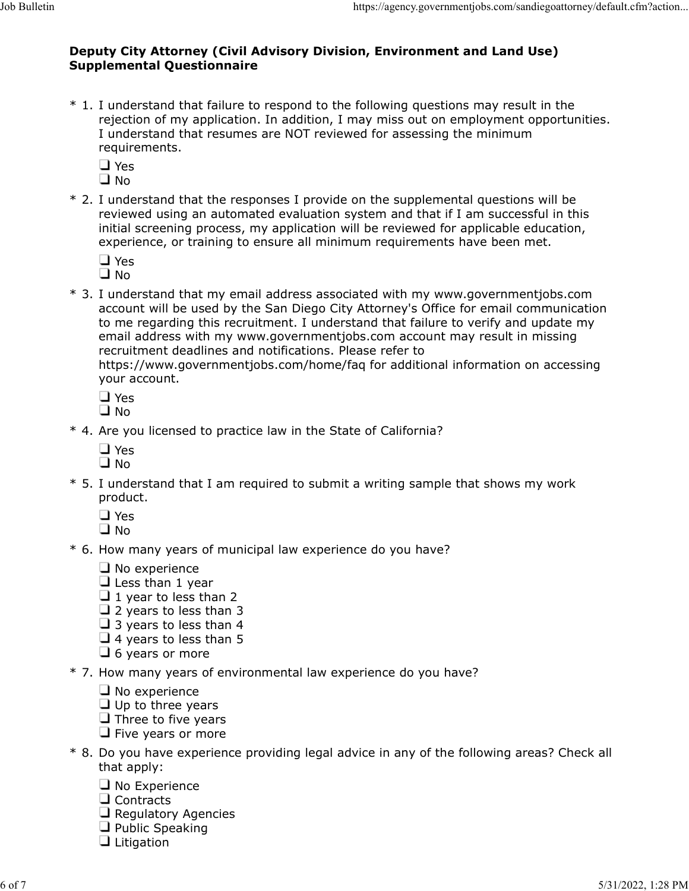# Deputy City Attorney (Civil Advisory Division, Environment and Land Use) Supplemental Questionnaire Job Bulletin<br>Deputy City Attorney (Civil Advisory Division, Environment and Land Use)<br>Supplemental Questionnaire

- Attorney (Civil Advisory Division, Environment and Land Use)<br>
Supplemental Questionnaire<br>
\* 1. I understand that failure to respond to the following questions may result in the<br>
rejection of my application. In addition, I rejection of my application. In addition, I may miss out on employment opportunities. I understand that resumes are NOT reviewed for assessing the minimum requirements. **Example 12. In the response I provide on the response I provide and**  $\mathbf{U}$  **and**  $\mathbf{U}$  **are responsed to the following questions may result in the rejection of my application. In addition, I may miss out on employment** 
	- Yes
	- No
- reviewed using an automated evaluation system and that if I am successful in this initial screening process, my application will be reviewed for applicable education, experience, or training to ensure all minimum requirements have been met.
	- Yes

No

buty City Attorney (Civil Advisory Division, Environment and Land Use)<br>
Supplemental Questionnaire<br>
\* 1. I understand that failure to respond to the following questions may result in the<br>
rejection of my application. In account will be used by the San Diego City Attorney's Office for email communication to me regarding this recruitment. I understand that failure to verify and update my email address with my www.governmentjobs.com account may result in missing recruitment deadlines and notifications. Please refer to https://www.governmentjobs.com/home/faq for additional information on accessing I understand that resumes are NOT reviewed for assessing the minimum<br>  $\Box$  Yes<br>  $\Box$  Yes<br>  $\Box$  I worderstand that the responses I provide on the supplemental questions will be<br>  $\angle$ <br>  $\angle$  I understand that the responses i \* 2. I understand that the responses I provide on the supplemental questions will be<br>reviewed using a a utomated evaluation system and that if I am successful in this<br>initial screening process, my application will be revi  $\Box$  Yes<br>  $\Box$  No<br>  $\Box$  No<br>  $\Box$  How many email address associated with my www.governmentjobs.com<br>
account will be used by the San Diego City Attorney's Office for email communication<br>
to me regarding this recruitment. I

your account.

- □ Yes<br>□ No
- No
- - Yes
	- No
- product. your account.<br>  $\Box$  Yes<br>  $\Box$  No<br>  $\Box$  Yes<br>  $\Box$  No<br>  $\Box$  Yes<br>
5. I understand that I am required to submit a writing sample that shows my work<br>  $\Box$  No<br>  $\Box$  Yes<br>  $\Box$  Yes<br>  $\Box$  Yes<br>  $\Box$  No<br>
\* 6. How many years of munic
	- Yes
	- No
- - $\Box$  No experience
	- $\Box$  Less than 1 year
	- $\Box$  1 year to less than 2
	- $\Box$  2 years to less than 3
	- $\Box$  3 years to less than 4
	- $\Box$  4 years to less than 5
	- $\Box$  6 years or more
- - $\Box$  No experience
	- $\Box$  Up to three years
	- $\Box$  Three to five years
	- $\Box$  Five years or more
- $\frac{1}{\sqrt{2}}$  No<br>
\* 5. I understand that I am required to submit a writing sample that shows my work<br>  $\frac{1}{\sqrt{2}}$  Yes<br>  $\frac{1}{\sqrt{2}}$  No<br>  $\frac{1}{\sqrt{2}}$  No<br>  $\frac{1}{\sqrt{2}}$  No w many years of municipal law experience do you have that apply:
	- $\Box$  No Experience
	- $\Box$  Contracts
	- $\Box$  Regulatory Agencies
	- $\Box$  Public Speaking  $\Box$  Litigation